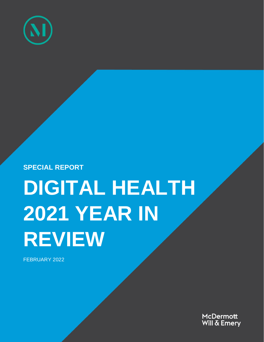

**SPECIAL REPORT**

# **DIGITAL HEALTH 2021 YEAR IN REVIEW**

FEBRUARY 2022

McDermott Will & Emery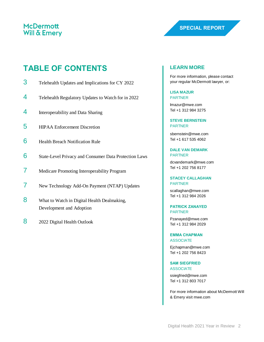### **TABLE OF CONTENTS**

- 3 Telehealth Updates and Implications for CY 2022
- 4 Telehealth Regulatory Updates to Watch for in 2022
- 4 Interoperability and Data Sharing
- 5 HIPAA Enforcement Discretion
- 6 Health Breach Notification Rule
- 6 State-Level Privacy and Consumer Data Protection Laws
- 7 Medicare Promoting Interoperability Program
- 7 New Technology Add-On Payment (NTAP) Updates
- 8 What to Watch in Digital Health Dealmaking, Development and Adoption
- 8 2022 Digital Health Outlook

#### **LEARN MORE**

For more information, please contact your regular McDermott lawyer, or:

**LISA MAZUR** PARTNER

[lmazur@mwe.com](mailto:lmazur@mwe.com) Tel +1 312 984 3275

**STEVE BERNSTEIN** PARTNER

sbernstein@mwe.com Tel +1 617 535 4062

**DALE VAN DEMARK** PARTNER

[dcvandemark@mwe.com](mailto:dcvandemark@mwe.com) Tel +1 202 756 8177

#### **STACEY CALLAGHAN** PARTNER

[scallaghan@mwe.com](mailto:scallaghan@mwe.com) Tel +1 312 984 2026

**PATRICK ZANAYED** PARTNER

[Pzanayed@mwe.com](mailto:Pzanayed@mwe.com) Tel +1 312 984 2029

**EMMA CHAPMAN ASSOCIATE** 

[Ejchapman@mwe.com](mailto:Ejchapman@mwe.com) Tel +1 202 756 8423

**SAM SIEGFRIED** ASSOCIATE [ssiegfried@mwe.com](mailto:ssiegfried@mwe.com)

Tel +1 312 803 7017

For more information about McDermott Will & Emery visit mwe.com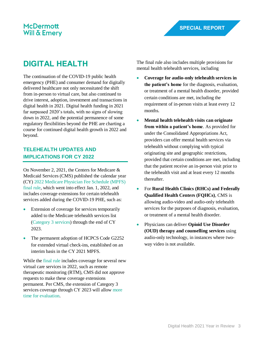## **DIGITAL HEALTH**

The continuation of the COVID-19 public health emergency (PHE) and consumer demand for digitally delivered healthcare not only necessitated the shift from in-person to virtual care, but also continued to drive interest, adoption, investment and transactions in digital health in 2021. Digital health funding in 2021 far surpassed 2020's totals, with no signs of slowing down in 2022, and the potential permanence of some regulatory flexibilities beyond the PHE are charting a course for continued digital health growth in 2022 and beyond.

#### **TELEHEALTH UPDATES AND IMPLICATIONS FOR CY 2022**

On November 2, 2021, the Centers for Medicare & Medicaid Services (CMS) published the calendar year (CY) [2022 Medicare Physician Fee Schedule \(MPFS\)](https://www.mwe.com/insights/staying-connected-an-update-on-medicare-reimbursement-for-telehealth-services-after-the-phe/)  [final rule,](https://www.mwe.com/insights/staying-connected-an-update-on-medicare-reimbursement-for-telehealth-services-after-the-phe/) which went into effect Jan. 1, 2022, and includes coverage extensions for certain telehealth services added during the COVID-19 PHE, such as:

- Extension of coverage for services temporarily added to the Medicare telehealth services list [\(Category 3 services\)](https://www.mwe.com/insights/cms-takes-a-preliminary-step-to-make-certain-covid-19-waivers-permanent/) through the end of CY 2023.
- The permanent adoption of HCPCS Code G2252 for extended virtual check-ins, established on an interim basis in the CY 2021 MPFS.

While the [final rule](https://www.federalregister.gov/documents/2021/11/19/2021-23972/medicare-program-cy-2022-payment-policies-under-the-physician-fee-schedule-and-other-changes-to-part) includes coverage for several new virtual care services in 2022, such as remote therapeutic monitoring (RTM), CMS did not approve requests to make these coverage extensions permanent. Per CMS, the extension of Category 3 services coverage through CY 2023 will allow [more](https://partnershiptoadvancevirtualcare.org/)  [time for evaluation.](https://partnershiptoadvancevirtualcare.org/)

The final rule also includes multiple provisions for mental health telehealth services, including

- **Coverage for audio-only telehealth services in the patient's home** for the diagnosis, evaluation, or treatment of a mental health disorder, provided certain conditions are met, including the requirement of in-person visits at least every 12 months.
- **Mental health telehealth visits can originate from within a patient's home**. As provided for under the Consolidated Appropriations Act, providers can offer mental health services via telehealth without complying with typical originating site and geographic restrictions, provided that certain conditions are met, including that the patient receive an in-person visit prior to the telehealth visit and at least every 12 months thereafter.
- For **Rural Health Clinics (RHCs) and Federally Qualified Health Centers (FQHCs)**, CMS is allowing audio-video and audio-only telehealth services for the purposes of diagnosis, evaluation, or treatment of a mental health disorder.
- Physicians can deliver **Opioid Use Disorder (OUD) therapy and counselling services** using audio-only technology, in instances where twoway video is not available.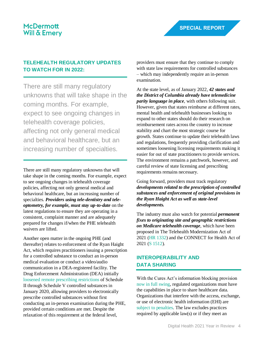#### **TELEHEALTH REGULATORY UPDATES TO WATCH FOR IN 2022:**

There are still many regulatory unknowns that will take shape in the coming months. For example, expect to see ongoing changes in telehealth coverage policies, affecting not only general medical and behavioral healthcare, but an increasing number of specialties.

There are still many regulatory unknowns that will take shape in the coming months. For example, expect to see ongoing changes in telehealth coverage policies, affecting not only general medical and behavioral healthcare, but an increasing number of specialties. *Providers using tele-dentistry and teleoptometry, for example, must stay up-to-date* on the latest regulations to ensure they are operating in a consistent, complaint manner and are adequately prepared for changes if/when the PHE telehealth waivers are lifted.

Another open matter in the ongoing PHE (and thereafter) relates to enforcement of the Ryan Haight Act, which requires practitioners issuing a prescription for a controlled substance to conduct an in-person medical evaluation or conduct a video/audio communication in a DEA-registered facility. The Drug Enforcement Administration (DEA) initiall[y](https://www.mwe.com/insights/dea-in-person-visit-not-required-for-controlled-substances-prescription-during-public-health-emergency/) [loosened remote prescribing restrictions](https://www.mwe.com/insights/dea-in-person-visit-not-required-for-controlled-substances-prescription-during-public-health-emergency/) of Schedule II through Schedule V controlled substances in January 2020, allowing providers to electronically prescribe controlled substances without first conducting an in-person examination during the PHE, provided certain conditions are met. Despite the relaxation of this requirement at the federal level,

providers must ensure that they continue to comply with state law requirements for controlled substances – which may independently require an in-person examination.

At the state level, as of January 2022, *42 states and the District of Columbia already have telemedicine parity language in place*, with others following suit. However, given that states reimburse at different rates, mental health and telehealth businesses looking to expand to other states should do their research on reimbursement rates across the country to increase stability and chart the most strategic course for growth. States continue to update their telehealth laws and regulations, frequently providing clarification and sometimes loosening licensing requirements making it easier for out of state practitioners to provide services. The environment remains a patchwork, however, and careful review of state licensing and prescribing requirements remains necessary.

Going forward, providers must track regulatory *developments related to the prescription of controlled substances and enforcement of original provisions in the Ryan Haight Act as well as state-level developments.*

The industry must also watch for potential *permanent fixes to originating site and geographic restrictions on Medicare telehealth coverage*, which have been proposed in The Telehealth Modernization Act of 2021 [\(HR 1332\)](https://www.congress.gov/bill/117th-congress/house-bill/1332?s=1&r=59#:~:text=Introduced%20in%20House%20(02%2F25%2F2021)&text=This%20bill%20modifies%20requirements%20relating,i.e.%2C%20coronavirus%20disease%202019).) and the CONNECT for Health Act of 2021 [\(S 1512\)](https://www.congress.gov/bill/117th-congress/senate-bill/1512?s=1&r=63).

#### **INTEROPERABILITY AND DATA SHARING**

With the Cures Act's information blocking provision [now in full swing,](https://www.mwe.com/insights/onc-information-blocking-interim-final-rule/) regulated organizations must have the capabilities in place to share healthcare data. Organizations that interfere with the access, exchange, or use of electronic health information (EHI) are [subject to penalties.](https://www.mwe.com/insights/could-offering-ehr-system-access-to-community-providers-lead-to-civil-monetary-penalties-for-information-blocking/) The law excludes practices required by applicable law(s) or if they meet an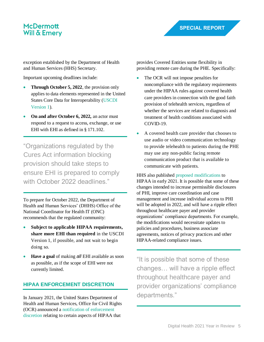exception established by the Department of Health and Human Services (HHS) Secretary.

Important upcoming deadlines include:

- **Through October 5, 2022**, the provision only applies to data elements represented in the United States Core Data for Interoperability [\(USCDI](https://www.healthit.gov/isa/united-states-core-data-interoperability-uscdi)  [Version 1\)](https://www.healthit.gov/isa/united-states-core-data-interoperability-uscdi).
- **On and after October 6, 2022,** an actor must respond to a request to access, exchange, or use EHI with EHI as defined in § 171.102.

"Organizations regulated by the Cures Act information blocking provision should take steps to ensure EHI is prepared to comply with October 2022 deadlines."

To prepare for October 2022, the Department of Health and Human Services' (DHHS) Office of the National Coordinator for Health IT (ONC) recommends that the regulated community:

- **Subject to applicable HIPAA requirements, share more EHI than required** in the USCDI Version 1, if possible, and not wait to begin doing so.
- **Have a goal** of making *all* EHI available as soon as possible, as if the scope of EHI were not currently limited.

#### **HIPAA ENFORCEMENT DISCRETION**

In January 2021, the United States Department of Health and Human Services, Office for Civil Rights (OCR) announced [a notification of enforcement](https://www.hhs.gov/hipaa/for-professionals/special-topics/emergency-preparedness/notification-enforcement-discretion-telehealth/index.html)  [discretion](https://www.hhs.gov/hipaa/for-professionals/special-topics/emergency-preparedness/notification-enforcement-discretion-telehealth/index.html) relating to certain aspects of HIPAA that

provides Covered Entities some flexibility in providing remote care during the PHE. Specifically:

- The OCR will not impose penalties for noncompliance with the regulatory requirements under the HIPAA rules against covered health care providers in connection with the good faith provision of telehealth services, regardless of whether the services are related to diagnosis and treatment of health conditions associated with COVID-19.
- A covered health care provider that chooses to use audio or video communication technology to provide telehealth to patients during the PHE may use any non-public facing remote communication product that is available to communicate with patients.

HHS also published [proposed modifications](https://www.federalregister.gov/documents/2021/01/21/2020-27157/proposed-modifications-to-the-hipaa-privacy-rule-to-support-and-remove-barriers-to-coordinated-care) to HIPAA in early 2021. It is possible that some of these changes intended to increase permissible disclosures of PHI, improve care coordination and case management and increase individual access to PHI will be adopted in 2022, and will have a ripple effect throughout healthcare payer and provider organizations' compliance departments. For example, the modifications would necessitate updates to policies and procedures, business associate agreements, notices of privacy practices and other HIPAA-related compliance issues.

"It is possible that some of these changes… will have a ripple effect throughout healthcare payer and provider organizations' compliance departments."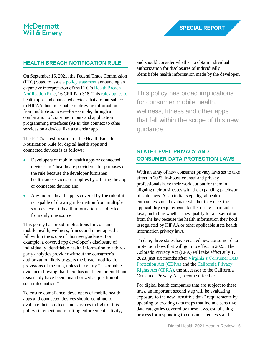#### **HEALTH BREACH NOTIFICATION RULE**

On September 15, 2021, the Federal Trade Commission (FTC) voted to issue a [policy statement](https://www.ftc.gov/system/files/documents/public_statements/1596364/statement_of_the_commission_on_breaches_by_health_apps_and_other_connected_devices.pdf) announcing an expansive interpretation of the FTC's [Health Breach](https://www.ftc.gov/system/files/documents/federal_register_notices/2009/08/healthbreachnotificationrulefinal.pdf)  [Notification Rule,](https://www.ftc.gov/system/files/documents/federal_register_notices/2009/08/healthbreachnotificationrulefinal.pdf) 16 CFR Part 318. This [rule applies to](https://www.mwe.com/insights/ftc-issues-policy-statement-expanding-interpretation-of-health-breach-notification-rules-scope/) health apps and connected devices that are **not** subject to HIPAA, but are capable of drawing information from multiple sources—for example, through a combination of consumer inputs and application programming interfaces (APIs) that connect to other services on a device, like a calendar app.

The FTC's latest position on the Health Breach Notification Rule for digital health apps and connected devices is as follows:

- Developers of mobile health apps or connected devices are "healthcare providers" for purposes of the rule because the developer furnishes healthcare services or supplies by offering the app or connected device; and
- Any mobile health app is covered by the rule if it is capable of drawing information from multiple sources, even if health information is collected from only one source.

This policy has broad implications for consumer mobile health, wellness, fitness and other apps that fall within the scope of this new guidance. For example, a covered app developer's disclosure of individually identifiable health information to a thirdparty analytics provider without the consumer's authorization likely triggers the breach notification provisions of the rule, unless the entity "has reliable evidence showing that there has not been, or could not reasonably have been, unauthorized acquisition of such information."

To ensure compliance, developers of mobile health apps and connected devices should continue to evaluate their products and services in light of this policy statement and resulting enforcement activity, and should consider whether to obtain individual authorization for disclosures of individually identifiable health information made by the developer.

This policy has broad implications for consumer mobile health, wellness, fitness and other apps that fall within the scope of this new guidance.

#### **STATE-LEVEL PRIVACY AND CONSUMER DATA PROTECTION LAWS**

With an array of new consumer privacy laws set to take effect in 2023, in-house counsel and privacy professionals have their work cut out for them in aligning their businesses with the expanding patchwork of state laws. As an initial step, digital health companies should evaluate whether they meet the applicability requirements for their state's particular laws, including whether they qualify for an exemption from the law because the health information they hold is regulated by HIPAA or other applicable state health information privacy laws.

To date, three states have enacted new consumer data protection laws that will go into effect in 2023. The Colorado Privacy Act (CPA) will take effect July 1, 2023, just six months afte[r Virginia's Consumer Data](https://www.mwe.com/insights/virginia-consumer-data-protection-act-a-growing-wave-of-comprehensive-state-privacy-laws/)  [Protection Act \(CDPA\)](https://www.mwe.com/insights/virginia-consumer-data-protection-act-a-growing-wave-of-comprehensive-state-privacy-laws/) and th[e California Privacy](https://www.mwe.com/insights/california-voters-approve-the-california-privacy-rights-act/)  [Rights Act \(CPRA\),](https://www.mwe.com/insights/california-voters-approve-the-california-privacy-rights-act/) the successor to the California Consumer Privacy Act, become effective.

For digital health companies that are subject to these laws, an important second step will be evaluating exposure to the new "sensitive data" requirements by updating or creating data maps that include sensitive data categories covered by these laws, establishing process for responding to consumer requests and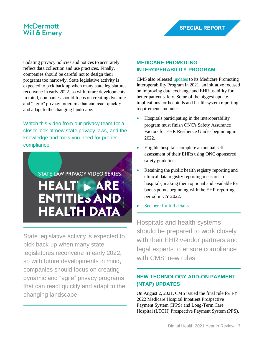updating privacy policies and notices to accurately reflect data collection and use practices. Finally, companies should be careful not to design their programs too narrowly. State legislative activity is expected to pick back up when many state legislatures reconvene in early 2022, so with future developments in mind, companies should focus on creating dynamic and "agile" privacy programs that can react quickly and adapt to the changing landscape.

Watch [this video from our privacy team for a](https://www.mwe.com/insights/state-law-privacy-video-series-healthcare-entities-and-health-data/)  closer look [at new state privacy laws, and the](https://www.mwe.com/insights/state-law-privacy-video-series-healthcare-entities-and-health-data/)  [knowledge and tools you need for proper](https://www.mwe.com/insights/state-law-privacy-video-series-healthcare-entities-and-health-data/)  [compliance](https://www.mwe.com/insights/state-law-privacy-video-series-healthcare-entities-and-health-data/)

# STATE LAW PRIVACY VIDEO SERIES HEALT > ARE **ENTITIES AND HEALTH DATA**

State legislative activity is expected to pick back up when many state legislatures reconvene in early 2022, so with future developments in mind, companies should focus on creating dynamic and "agile" privacy programs that can react quickly and adapt to the changing landscape.

#### **MEDICARE PROMOTING INTEROPERABILITY PROGRAM**

CMS also released [updates](https://www.govinfo.gov/content/pkg/FR-2021-08-13/pdf/2021-16519.pdf) to its Medicare Promoting Interoperability Program in 2021, an initiative focused on improving data exchange and EHR usability for better patient safety. Some of the biggest update implications for hospitals and health system reporting requirements include:

- Hospitals participating in the interoperability program must finish ONC's Safety Assurance Factors for EHR Resilience Guides beginning in 2022.
- Eligible hospitals complete an annual selfassessment of their EHRs using ONC-sponsored safety guidelines.
- Retaining the public health registry reporting and clinical data registry reporting measures for hospitals, making them optional and available for bonus points beginning with the EHR reporting period in CY 2022.
- [See here for full details.](https://www.govinfo.gov/content/pkg/FR-2021-08-13/pdf/2021-16519.pdf)

[Hosp](https://www.mwe.com/insights/state-law-privacy-video-series-healthcare-entities-and-health-data/)itals and health systems should be prepared to work closely with their EHR vendor partners and legal experts to ensure compliance with CMS' new rules.

#### **NEW TECHNOLOGY ADD-ON PAYMENT (NTAP) UPDATES**

On August 2, 2021, CMS issued the final rule for FY 2022 Medicare Hospital Inpatient Prospective Payment System (IPPS) and Long-Term Care Hospital (LTCH) Prospective Payment System (PPS).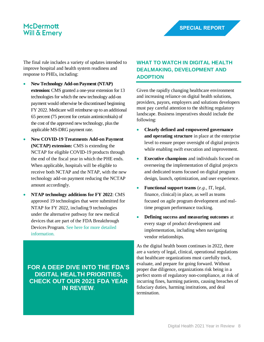The final rule includes a variety of updates intended to improve hospital and health system readiness and response to PHEs, including:

- **New Technology Add-on Payment (NTAP) extension:** CMS granted a one-year extension for 13 technologies for which the new technology add-on payment would otherwise be discontinued beginning FY 2022. Medicare will reimburse up to an additional 65 percent (75 percent for certain antimicrobials) of the cost of the approved new technology, plus the applicable MS-DRG payment rate.
- **New COVID-19 Treatments Add-on Payment (NCTAP) extension:** CMS is extending the NCTAP for eligible COVID-19 products through the end of the fiscal year in which the PHE ends. When applicable, hospitals will be eligible to receive both NCTAP and the NTAP, with the new technology add-on payment reducing the NCTAP amount accordingly.
- **NTAP technology additions for FY 2022**: CMS approved 19 technologies that were submitted for NTAP for FY 2022, including 9 technologies under the alternative pathway for new medical devices that are part of the FDA Breakthrough Devices Program. [See here for more detailed](https://www.cms.gov/newsroom/fact-sheets/fiscal-year-fy-2022-medicare-hospital-inpatient-prospective-payment-system-ipps-and-long-term-care-0)  [information.](https://www.cms.gov/newsroom/fact-sheets/fiscal-year-fy-2022-medicare-hospital-inpatient-prospective-payment-system-ipps-and-long-term-care-0)

**[FOR A DEEP DIVE INTO](https://s908331520.t.en25.com/e/er?s=908331520&lid=14162&elq=~~eloqua..type--emailfield..syntax--recipientid..encodeFor--url~~) THE FDA'S [DIGITAL HEALTH PRIORITIES,](https://s908331520.t.en25.com/e/er?s=908331520&lid=14162&elq=~~eloqua..type--emailfield..syntax--recipientid..encodeFor--url~~)  [CHECK OUT OUR 2021 FDA YEAR](https://s908331520.t.en25.com/e/er?s=908331520&lid=14162&elq=~~eloqua..type--emailfield..syntax--recipientid..encodeFor--url~~)  [IN REVIEW](https://s908331520.t.en25.com/e/er?s=908331520&lid=14162&elq=~~eloqua..type--emailfield..syntax--recipientid..encodeFor--url~~)**.

#### **WHAT TO WATCH IN DIGITAL HEALTH DEALMAKING, DEVELOPMENT AND ADOPTION**

Given the rapidly changing healthcare environment and increasing reliance on digital health solutions, providers, payors, employers and solutions developers must pay careful attention to the shifting regulatory landscape. Business imperatives should include the following:

- **Clearly defined and empowered governance and operating structure** in place at the enterprise level to ensure proper oversight of digital projects while enabling swift execution and improvement.
- **Executive champions** and individuals focused on overseeing the implementation of digital projects and dedicated teams focused on digital program design, launch, optimization, and user experience.
- **Functional support teams** (*e.g.*, IT, legal, finance, clinical) in place, as well as teams focused on agile program development and realtime program performance tracking.
- **Defining success and measuring outcomes** at every stage of product development and implementation, including when navigating vendor relationships.

As the digital health boom continues in 2022, there are a variety of legal, clinical, operational regulations that healthcare organizations must carefully track, evaluate, and prepare for going forward. Without proper due diligence, organizations risk being in a perfect storm of regulatory non-compliance, at risk of incurring fines, harming patients, causing breaches of fiduciary duties, harming institutions, and deal termination.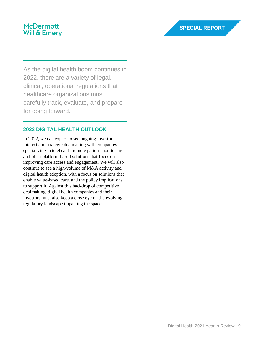As the digital health boom continues in 2022, there are a variety of legal, clinical, operational regulations that healthcare organizations must carefully track, evaluate, and prepare for going forward.

#### **2022 DIGITAL HEALTH OUTLOOK**

In 2022, we can expect to see ongoing investor interest and strategic dealmaking with companies specializing in telehealth, remote patient monitoring and other platform-based solutions that focus on improving care access and engagement. We will also continue to see a high-volume of M&A activity and digital health adoption, with a focus on solutions that enable value-based care, and the policy implications to support it. Against this backdrop of competitive dealmaking, digital health companies and their investors must also keep a close eye on the evolving regulatory landscape impacting the space.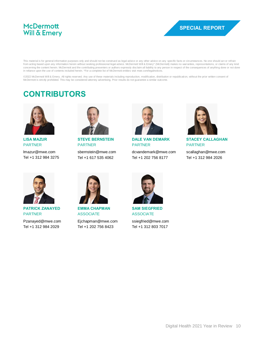

This material is for general information purposes only and should not be construed as legal advice or any other advice on any specific facts or circumstances. No one should act or refrain<br>from acting based upon any informa concerning the content herein. McDermott and the contributing presenters or authors expressly disclaim all liability to any person in respect of the consequences of anything done or not done in reliance upon the use of contents included herein. \*For a complete list of McDermott entities visit mwe.com/legalnotices.

©2022 McDermott Will & Emery. All rights reserved. Any use of these materials including reproduction, modification, distribution or republication, without the prior written consent of<br>McDermott is strictly prohibited. This

## **CONTRIBUTORS**



**LISA MAZUR** PARTNER

[lmazur@mwe.com](mailto:lmazur@mwe.com) Tel +1 312 984 3275



**STEVE BERNSTEIN** PARTNER

[sbernstein@mwe.com](mailto:sbernstein@mwe.com) Tel +1 617 535 4062



**DALE VAN DEMARK** PARTNER

[dcvandemark@mwe.com](mailto:dcvandemark@mwe.com) Tel +1 202 756 8177



**STACEY CALLAGHAN** PARTNER

[scallaghan@mwe.com](mailto:scallaghan@mwe.com) Tel +1 312 984 2026



**PATRICK ZANAYED** PARTNER

[Pzanayed@mwe.com](mailto:Pzanayed@mwe.com) Tel +1 312 984 2029



**EMMA CHAPMAN** ASSOCIATE

[Ejchapman@mwe.com](mailto:Ejchapman@mwe.com) Tel +1 202 756 8423



**SAM SIEGFRIED** ASSOCIATE [ssiegfried@mwe.com](mailto:ssiegfried@mwe.com)

Tel +1 312 803 7017